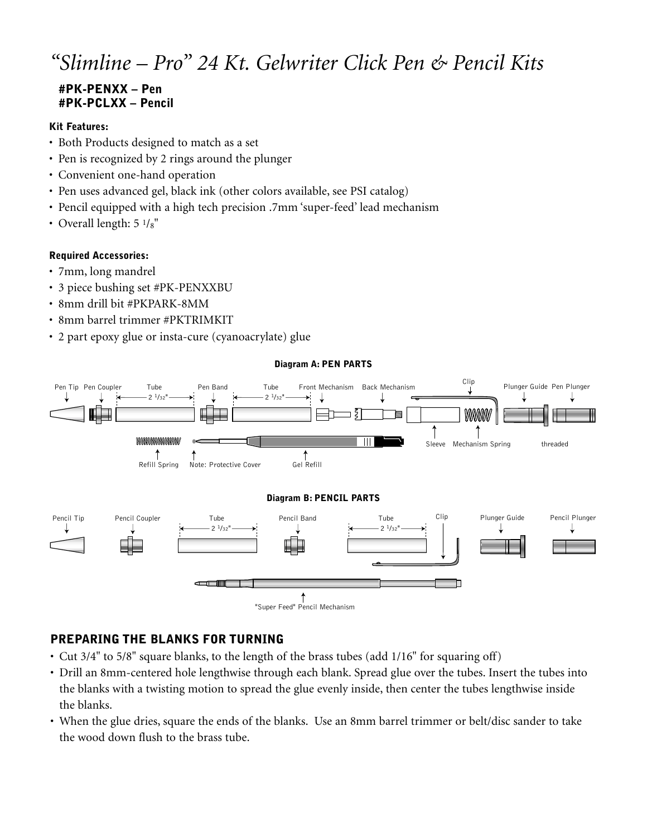# *"Slimline – Pro" 24 Kt. Gelwriter Click Pen & Pencil Kits*

# **#PK-PENXX – Pen #PK-PCLXX – Pencil**

#### **Kit Features:**

- Both Products designed to match as a set
- Pen is recognized by 2 rings around the plunger
- Convenient one-hand operation
- Pen uses advanced gel, black ink (other colors available, see PSI catalog)
- Pencil equipped with a high tech precision .7mm 'super-feed' lead mechanism
- Overall length:  $5 \frac{1}{8}$ "

### **Required Accessories:**

- 7mm, long mandrel
- 3 piece bushing set #PK-PENXXBU
- 8mm drill bit #PKPARK-8MM
- 8mm barrel trimmer #PKTRIMKIT
- 2 part epoxy glue or insta-cure (cyanoacrylate) glue

#### **Diagram A: PEN PARTS**



# **PREPARING THE BLANKS FOR TURNING**

- Cut 3/4" to 5/8" square blanks, to the length of the brass tubes (add 1/16" for squaring off)
- Drill an 8mm-centered hole lengthwise through each blank. Spread glue over the tubes. Insert the tubes into the blanks with a twisting motion to spread the glue evenly inside, then center the tubes lengthwise inside the blanks.
- When the glue dries, square the ends of the blanks. Use an 8mm barrel trimmer or belt/disc sander to take the wood down flush to the brass tube.